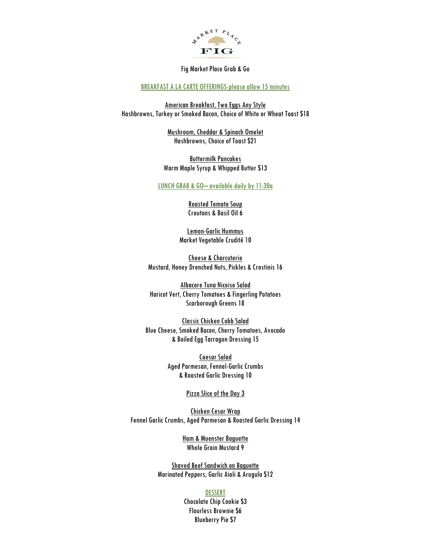

#### Fig Market Place Grab & Go

# BREAKFAST A LA CARTE OFFERINGS-please allow 15 minutes

American Breakfast, Two Eggs Any Style Hashbrowns, Turkey or Smoked Bacon, Choice of White or Wheat Toast \$18

> Mushroom, Cheddar & Spinach Omelet Hashbrowns, Choice of Toast \$21

Buttermilk Pancakes Warm Maple Syrup & Whipped Butter \$13

## LUNCH GRAB & GO– available daily by 11:30a

Roasted Tomato Soup Croutons & Basil Oil 6

Lemon-Garlic Hummus Market Vegetable Crudité 10

Cheese & Charcuterie Mustard, Honey Drenched Nuts, Pickles & Crostinis 16

Albacore Tuna Nicoise Salad Haricot Vert, Cherry Tomatoes & Fingerling Potatoes Scarborough Greens 18

Classic Chicken Cobb Salad Blue Cheese, Smoked Bacon, Cherry Tomatoes, Avocado & Boiled Egg Tarragon Dressing 15

> Caesar Salad Aged Parmesan, Fennel-Garlic Crumbs & Roasted Garlic Dressing 10

### Pizza Slice of the Day 3

Chicken Cesar Wrap Fennel Garlic Crumbs, Aged Parmesan & Roasted Garlic Dressing 14

> Ham & Muenster Baguette Whole Grain Mustard 9

Shaved Beef Sandwich on Baguette Marinated Peppers, Garlic Aioli & Arugula \$12

#### DESSERT

Chocolate Chip Cookie \$3 Flourless Brownie \$6 Blueberry Pie \$7